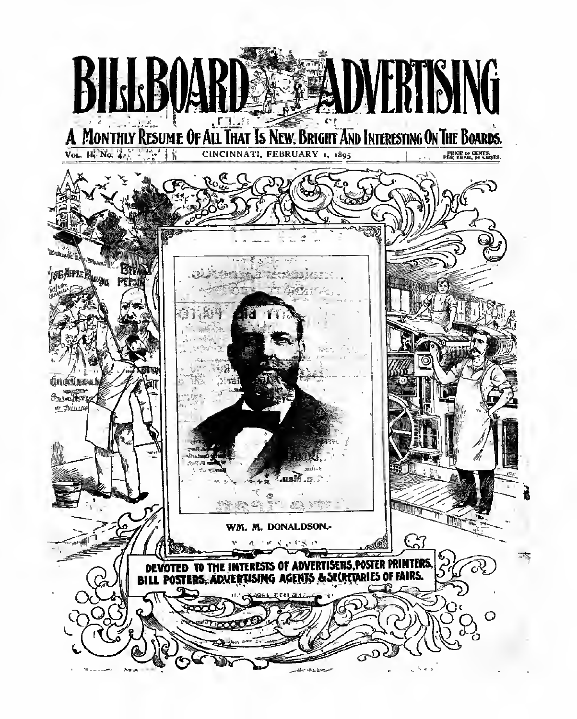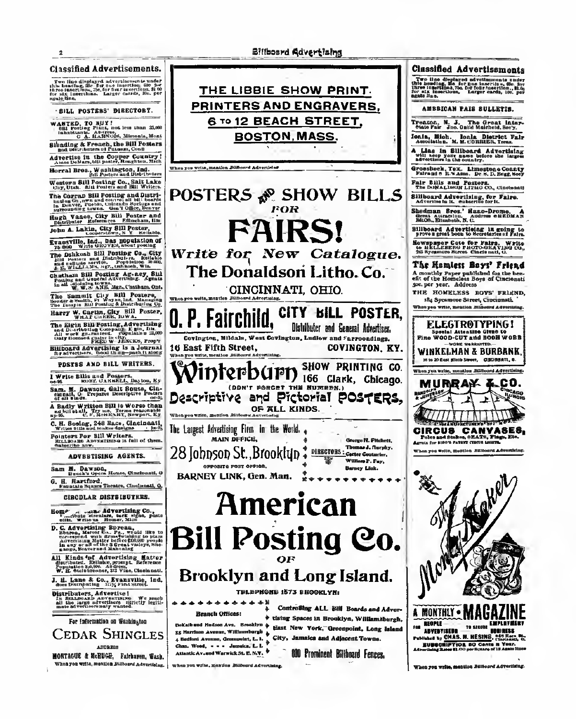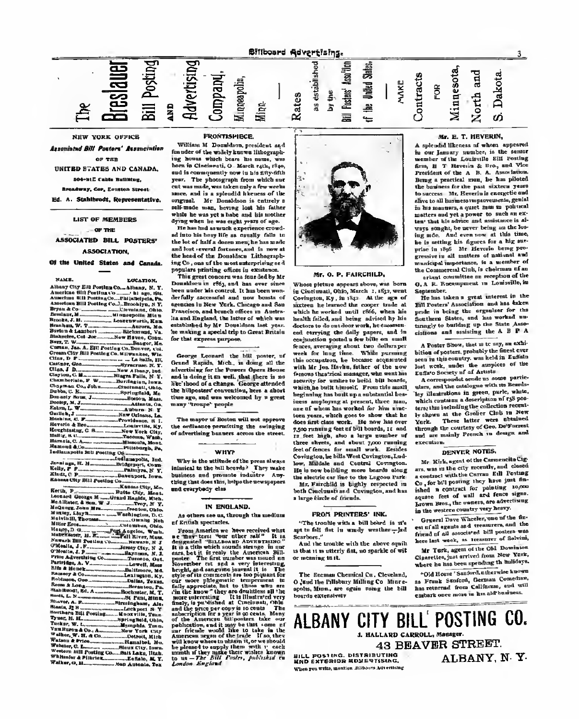**Dillboard Advertising** J,

**Associated RW. Posters' Association**  $\sim$  700

**USITED STATES AND CANADA** 

**ARRIVE CAN INCHES** adway, Car. Europa tonu

Ed. A. Stabilizado, Depresentativo

LIST OF MEMBERS

 $-97.78$ 

ASSOCIATED BILL POSTERS

ASSOCIATION

of the United States and Comate  $\overline{\phantom{0}}$ 

**TOP** CORP. Allong City Ers Pretien Co., Albany, M. Ξ ÷ w **CRYSSIAN CR.** g raportin, 2014<br>ramoroù, 21 e Assum, No. **Gamb** æ **STRATEGIC TO** s New Albert,  $-11$ H **Seminated W** factor, Ivan  $1.7777$ Fortunated M antic flows 2  $-1$ ÷  $m \leq n$ Tork Ch  $\frac{1}{2}$ andly link of  $\overline{r}$  $\pm$ eres of 662 on the State Postage Co., Department, State<br>And they State Postage Co.,

| States D. G. M. Company of Mark Street, Nearly Street, Toronto. |                  |
|-----------------------------------------------------------------|------------------|
|                                                                 |                  |
|                                                                 |                  |
|                                                                 |                  |
|                                                                 |                  |
| Price Advertising Co., Treasury, Car-                           |                  |
|                                                                 |                  |
|                                                                 |                  |
|                                                                 |                  |
| fromery & Communications Leslington, Kr.                        |                  |
|                                                                 |                  |
|                                                                 |                  |
|                                                                 |                  |
|                                                                 |                  |
|                                                                 |                  |
|                                                                 |                  |
|                                                                 |                  |
|                                                                 |                  |
|                                                                 |                  |
| Ten Stress & Co., Accounts, New York Cldy.                      |                  |
|                                                                 |                  |
|                                                                 |                  |
|                                                                 |                  |
| Wroters will Portland Co., Built Lake, Thick,                   |                  |
|                                                                 |                  |
| Value, G. M.                                                    |                  |
|                                                                 | Man America, Tex |

William M. Donaldson, president and feasible of the widely known littographthe bonus which bears his same, was a la Cincinnati, O. March cuts, rian. and is recomposedly new in his dily-dilk year. The photograph from which and rat was made, was taken enly a few weeks specs, and is a subradid hispanse of the organi. Mr Donaldore is cetroly a self-made man, houseg lost his fiches while he was yet a hobe and his senther dring when he was copie went of ago

He has had as much experience coved ad late his besy life as decally date to the lot of half's doors men; he has med and but reveral fortuges and in your at the head of the Decembers Lithograph ing Co., one of the meat anterprising as it miers printing offices in exceptence

This great concern was from ded by M. Denskore in 1965 and has ever sizes been under his control. It has been were derfully seconded and new bount of derrain in New York. Chungs and far Practice, and branch effices in Austral las and England, the latter of which was established by Mr. Penableau last year be making a special trip to Great Britain for that expense aurones.

George Locaurd the ME poster, at Gezad Rapids, Mich., is doing all the that at Keyers, more, in which the same annovement for the weeks upon anome the hillpouters' convention, here a short time ago, and was selected by a great  $-1$ "trenaw" savols

The mayor of Boston will not one the collactor permissing the subspice of advertising banners acress the street

and the con $m<sub>2</sub>$ 

Why is the stiftede of the years sleeps<br>interior to the bill beauty? They make buriness and prevente industry as that does this, briga the ocyanoon and crecybedy else

# IN SNOLAND.

As others are an Occupy the modern of Entire spectation

Pope America au Inter<br>2 Mai: Jene Teer alle Poone Annexice we<br>companied "Seadmont<br>companied "Seadmont<br>companied annual  $-1$ which counds strange in an<br>directly the Assertion, 202  $1 - 1$  $\frac{1}{2}$ or was turned × a very in ₩ 54 philogenatic temps 'n.  $-1$ an<br>Mari  $1000$  $\overline{1}$  $\sim$ teke in sale works and heads<br>a negro of the trade of<br>a whereas abiain it, or a<br>at an apply them with



No. O. P. PAINCHILD.

Where pleince appears above, was been to prove prevent control between a class seems Comington, Ky., in the. At the age of altrians he learned the course trade at surface he learned the cooper union in bealth foliol, and being advised by his decises to do not dear your, he contras ced currying the delly papers, and is conjunction yested a few bills on coast work for leng time. While pursuing this company is became accessory thas occupations, he econome sequences.<br>while his fass Hardin, father of the senfrontest theories measure, who went he possedne for explorate boilet him beautif which he halls kinself. From this small bestealer has beitt en a rebetantiel beg issue amplement at present, three man cas of whom has worked for him nim teen years, which goes to show that he ses yeste, which goes to show that it ann cumaire a Gort ad bill bounds, 12 and feet high, also a large weather a three sheets, and about 7,000 running<br>feet of feature for small work. Exclude Covington, be bills West Certagues, Lod low, Mildale and Control Coveraghie He is now beliefer more beauty about ow buthing and the Luccan Pr Mr. Fanchild in highly respected to belk Cincinnati and Centurian, and has

a large tiscle of fricads.

# FRON PRINTERS' INK.

"The transition which is belt below) to wit est to fell that in words weather-let Scorbers."

and the teacher with the shore analy as then in as attently date, we specially of will or meaning in ch.  $\equiv$ 

The Rooman Chemical Cu., Chemical the band the Hollybourn McBone Co. Mineral speed. Mone., are ognie wang the bill boards expensively

ź **Br. F. T. HEYERDS** 

Ĕ

A coloradol Whenever of whose account is our Japany namibor, is the sease from H T Havenin & Rye, and Vice Freelders of the A B. A. Association the business for the past sixteen year. to uncosa. Ht. Hoveris is committee alling to all burkerss-requesterated, gentle In his monetals, a quiet most to pok total matters and yet a pewer to such an an tear that his advice and annistence is at trays songlet, be never being on the low *<u>Distance</u>* And company, of this time. tag mile. And even sow at this comreceive to all metters of satisfact are natripal importance, in a member of the dealership of the chairman of the actual committee as reception of the

O. A. B. Euconometer in Louisville, in

Spanner.<br>He has taken a great interest in the 221 Perters' Association, and has below scale is being the organizer for the forthern Stein, and has verted an communication of the communication of the State Anne clottens and scolating the A B P.A.

A Poster Show, that is to sup, we said tion of posters, probably the fixest ave seen in this country, was keld in Ending but work, weder the exceptors of the

A corresponded sound as some partie store, and the consleges with tto Results loy illustrations in green, park, white, which contains a description of rph pro terapins between the collection roo three at the Greller Cloh to New North, These latter were abusived through the courtesy of Goo, De'Fameet through the coursesy to their favors, and everties.

# DENVER NOTES

20. Kick, agent of the Corneacity Cip are, was on the city recently, and classed a contract with the Carres Edit Postang Co., for bot posting they have just the Co , see off poorng only and you are houses now, the expect, are advertising however House, the owners and heavy

Grant Days Wheeler, use of the deout of all agains and, treasurers, and, the friend of all associated bill nomens was common as the more as topperature of Societies.

Nr Terk, agent of the Old Swedens Clearster, last seeined from New York. where he has been spending th hulldays

"Old Borne" Suit Seed, a thoughts haven as Freek Smilers, German Competen he come control tompes transition restack open more in his aid bookeen

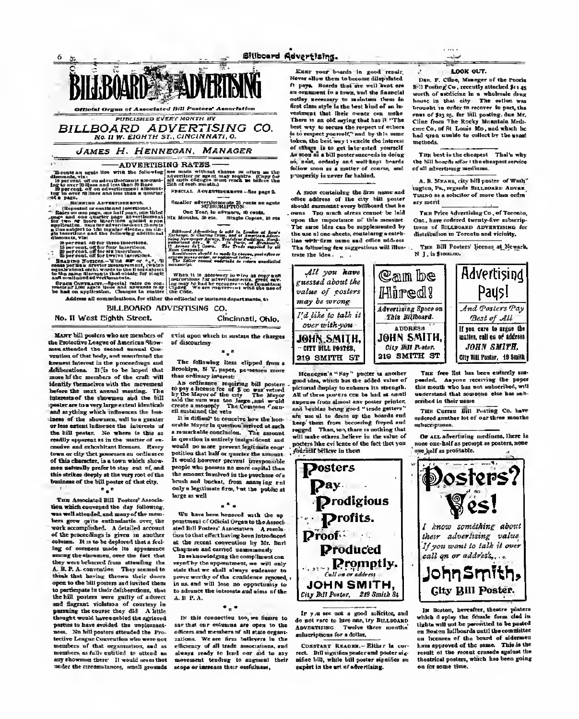

an to approve the company of the company of the company of the company of the company of the company of the company of the company of the company of the company of the company of the company of the company of the company o

BILLBOARD, ADVISORIENS, CO

No. If Islam Plakes Choose

MANY bill posters who are struchers of the Protective League of American Show-<br>now steaded, the moned meand, Conmonths of that hade and months of the knearst fatovect in the proceedings and deliberations. It is no be broad that more of the members of the craft will Mentily themselves with the movement before the next annual monting. The isterested the charges and the bill or has never been extend they tive and as ething which indegences the box incen of the showness, will be a goods or less extent lederant the interests a the bill poster. No where is this or readily assumes as in the wester of ansamp appears at in the women of an tens or dir that presence as college of this choracter, is a town which show man wake sails against a stay and of one mon personally premote to stay out it, and as of the bill souter of that city

72

Term Associated \$50. Penters' Associate ties which conversed the day following was well obtained, and many of the mem have some calls pottentiative come the with scomplished. A detailed account of the reportdings in views in an column. It is to be deployed that a feel contain. It is to be depressed that a fearя ong the thousans, over the fact that ong the factories from others in the A. B. P. A. convention. They seemed to think that having theory. their doors eyes to the bill preters as I invited then **MONE** aste in their deliberations. How the bill posters were guity of a fame and flagrant violation of courtesy in pursting the course they did A hit ught week have easiled the aptent a to have groided. the week ness. No bell posters attended the Poo better London Constables who were not members of that expansation, and an mombers, as folly relitied to attend an our electrons there. It would need they

Chchnet, Ohio **STIM again which be madeon the charges** of discourses

The delewing tiem clipped from a Brooklyn, N Y, paper, personan move discussion, in the

An ordinates coupling bill poster in the property of the stress in the property of the stress and the property of the stress and the coupling of the stress and the coupling of the Company  $\tau$  and of the statement of the i stolatneg ung veto<br>It is difficult to rescolts how the hos

ceable hisper in question knowed as each a remorkable conclusion. This games. would no more provent featurings comties that bull or quester the amount politica that easy or quarter the assumer prophy who wassers no more coulted they the smoont familyed in the prechase of a the amount transverse in the presence ... Only a legislands from her the public at large as well.

# $\ddotsc$

We have been becaused with the an presinced of Official Organ to the Asses tion to their effect having been introduced at the recent convenient by Mr. Bart at the recent compression by Mr.<br>Chaptern and corried passessments

To estampledging the compliment con veyed by the oppositions), on will only state that we shall always endowny to sever worthy of the confidence senseed in us and will love no opportunity to to ofcourt the interests and sizes of the  $\overline{A}$  **B**  $\overline{B}$  **A** 

# ٠.,

In this concention too, we finance to use that car crimena are open to the efficers and members of all state organs college. We see from bettersee to the efficiency of all trade noncurrence, and stewed ready to lead our aid to sen merge reary or stat our and to say inder the creemulances, small grounds scope or increase their cartchaese.

Keep your boards in small year. Never allow them to become dilatelate A pers. Search that the well kept are on continued for a boom must the timescale cotten proposers to malaters them be contry presency is matches them in vertures that their court on mehr There is an old supley that has It "The bost way to secure the respect of ethent token, the baid way transity the interest of elloys in to get interested yourself si, sest, colorly on I well-kept brack follow seen as a mother of course, and y wounds is gover for habited.

A more containing the firm name and A must containing the firm is should surmoned overy brillboard that he come. This needs alreas counsel be laid open the superinter of this measure The same blue can be supplemented by the use of one shoots, contricting a catch line with firm came and office sold-on The following for suggestions will like trate the idea. . .



LOOK SUT.

Don. F. Clint, Manager of the Perris 841 Posteag Co., secondly attached \$11 ap worth of antitions in a wholesale door because in that city. The setten was lessabt to collecte recover in pact, the scount in come in receiver in part, the<br>runs of Bayer, for bill posting, due Mc<br>Cline from The Broke Mountain Meds. cess Co. of it Louis Mr. and which he the college of them at the age of the **SHE STAR** 

Top best is the chargest That's why the NCI hangeds affect the changest service of all advertises mediums

a for his case when held a position of the colingien, Pa., reporte Essamondo Aeros Turns as a schuler of more than order any world

Tex Prize Advertising Co. of Texasia Ont. here subject twenty-five ashocol more of Economist Astronyceson dea dealer to depend on a shift-be-

Two Bill Penters' Spence at Newark N 1. is \$1000.00.



Signature's " For " yester to conferport silve, which has the added value of chanal display to cohears its strength All of three powers one be had at unat cannon from almost any poster printer. and better being good "trade house are me of to dress up the boards sud are one of to dress up the bounds on the first construction of the city regional It make others before in the value of ers like ovi leave of the fact that you Gardet bittere la them

**Posters** 

Day.

Profits.

Droof.

**Draduced** 

Call on or adden

de not rate to have one, by Encapsus

Anyone race is now one, by successible

Converse Season - Ether is on

ation bill, while bill noster standing an

copiet in the set of advertising.

mbacristians for a deliver

 $\sim$ Tell standing under and noder size

Tax fee list his boom collects and pended. Aspecs receiving the paper uncertand that sourcess the has sal continued in their state

The Cerrer Elli Fosting Co. have automatication to of our three meaths

Or agg advertising mediums, there is nees any bolf as prougt as posters, new one half as profitable



which dealer the friends form shall b tights will not be permitted to be paste on Broders hid Departs metal there on figures of the board of aldermitti on technics of the coupe, This is the result of the recent cressed against the thantrical peolees, which has been geing an fire annua tiona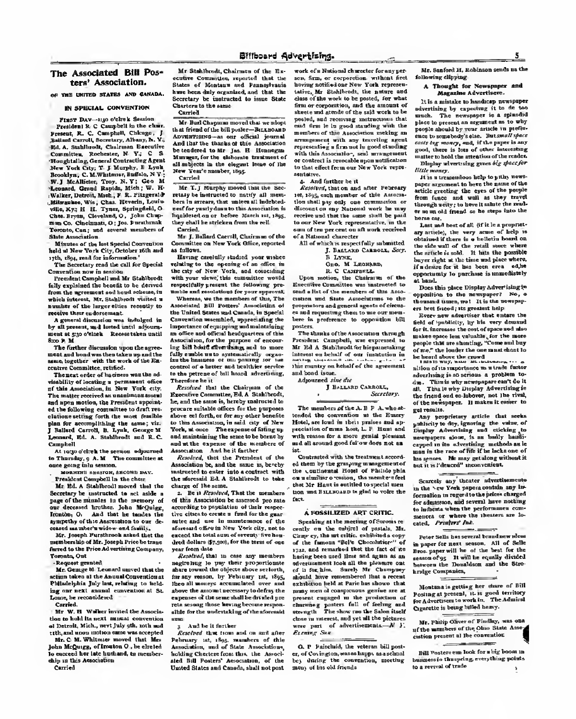## The Associated Bill Posters' Association.

or this therein status are desired.

# IN SPECIAL CONVENTION

Finer Daw-sign statuk denter Possident 9. C Completi to the chair Freest, R. C. Canghall, Chicago, Builded Carroll Secretary, Albany, L. Y. Ed. A. Sabileodi, Chairman Execut  $\sim$ **Engelsteinen General Circle** York City, Y. J. Maryky, B. Lyok ... Jecoblyn; C. M. Whiteon, Indick, N.Y. W.) Maklinter, Trey. N.Y: Geo 1<br>Leonard, Greed Rapids, Mich; W. P. Walker, Detroit, Mesh.; F. R. Pitegerson Milwaukee, Wis, Chas. Riverin, Louis az. veza, Ky.: 21 - 21 - 1700), topragman, v<br>Chen. Hrynn, Cleveland, O., John Ckup<br>Hun Co. Cincinnati, O.: Jos. Forstbrach Teenoto, Can: und several members af Shir Association

Missou of the last Special Convenitors<br>band of New York City, October 19th and rth, the real for information.

The Secretary read the call for Special Convention now in control.<br>Premient Comeball and Mr Nighthredt

the excisional the beautiful to be derived from the agreement and head solarses, in which interest, Nr. Stukilvolt vicked a wenker of the larger eities recently or receive their concernment.

A general discussion was included in by all present, and hoted until adjourn ment at 5:30 o'clock Recent taken until

The Sather discussion woon the arrest aw satura manazar upawa ya kata ya<br>muta gad kamdwas Uses inken ny ami ik<br>samo torother - atik the work of the En stere Committee, rutified

The next coder of hackees was the ad ciantific of locating a permanent office<br>of this Association, in New York coin and nona motion, the President sepotal ed the following committee to draft reelations setting forth the most freelole on for accomplishing the name; vis<br>Ballard Carroll, B. Louis, George S. smart, Ed. A. Stakfordt sed R.C. Campbell

At sense debuty the service, advertised in Thursday n A.M. The committee a oase pecas late sences

MORFINE EXCITED, EXCOVER BAY.

Treatdent Compbell in the ches

Mr. Hd. a Goddboodi mound that the Secretary by contracted in act solds a nage of the minutes to the secondy a or decessed hocker, John McGuley, beliefer. Ct. And that he tender the sympethy of the Assessmen to our de resent my more's widow and funtile

Mr. feesth Purphreek asked that the memberskip of Mr. Joseph Price be trans reed to the Price Advertising Company, coosts, Ont

**Cased created** 

Mr. George M. Leonard survey that the then takes at the kasual Commetics of Misdelakis July lest, relating to bold ing car sext answel convenient at St. case, he reconnicenci

Mr W. H. Walker invited the Associa then to hold its next names, communica-Tempels, Mich., next lists offs, and may or recover, were, we'll just you, twin the

No.C.M. Whitness moved that Mos John McQuugg, of Irraton O., he shated<br>to moreed her late hushand, to momber ship on this Association

Carolad

He Stations, Chairmen of the Enscation Committee, reported that the States of Masters and Recorderate home been date considered and that the Serretury he desirarted to tome State Charters to the same.

Mr But Chapma moved the weating that friend of the bill pusher-Bennband vernance-as our oficial loun-And that the thanks of this Association be teadered to Mr. Inc. H. Blenseym Musumer, for the sinkernis transment of all satisfacts in the six-sent issue of the Hew Year's number, that Capital

Mr. T. I Marrie- meed that the Se

retary be incirreted to nature all more been in access, that unites all indebted or conclu down to this Ass. mest the puncty cours to their announcement.<br>Fig.20sted.ca.ur\_bedies\_March\_vil..v9ec. they chall be stricken from the roll **Country** 

Mr. J. Bellerf Carrill, Chairman of the amentities on New York Office, encorpeas colores.

Hering certisfly sinded, year wishes saluting to the opening of an effice in with your views this summittee world respectfully present the following you making and excellent for your expected

imble and recolutions for your opportunity<br>- Whereas, we the members of this, The<br>tennisted: Bill: Penters' Ameniation of the United Scotca said Canada, in Special Corresting marmlind, sepreciating the importance of oquepping und maletclaing an office and official headcasters of this s onnee anni oracist Revolusionis et the<br>secolation, for the instructs of second Ing bill boot diversions and to more fully smide mute systematically segue eded of a heller and healthier service a ska network of hill hourd advertising.

Eccolor that the Chelman of the senting Computies Wd. A Statified he and the same is hareby makeured to news a subside offices for the numerous stave set forth, or for sex ather benefits to this Association, is said outy of New York, at more Thompsons of Esting up and maintaining the sense to be beene is col at the expense of the members of Association And by it factber

Resolved, that the President of the Association be, and the same as, beyelve structed to enter into a contract with the playment and A finalthrough to refer charge of the same as or compact. That the members

z ad whis Augociation be asserted, two sale according to population of their resear they close to corpor a fired torobe own antes and car in montreasure of the autor and the in manutement of the success the total sum of covers. Swe has dead defines the soil, for the term of your

Foreboot that in one way members giving to pay their proportional sugar ang ito chiatta dura sedant for the rection for Mehreaux not clien then the massers arrespondent over and above the assignitude recessory to define the power as a the sems shall be drawed a re pola scooleg inner saving become respect albie for the codestableg of the aforesaid

And he is devided

3. Aug 14 it rectaer.<br>Scarfted that from and on ord after Pelesare 14t, 15tr, resulton of this Association, and of State Associations. bobling Chestere from the, the As-set men and reservy Association, or the work of a National character for server one does no companies produce for keving notifiations New York represen tailing Mr. Grahibandy the autum and class of the work to be posted, for who firm or competition, and the amount of shorts and givesto of the said work to be pected, and receiving instructions that ead from it in good standing with the members of this Association prehing as accurate to the Annual Street, and any representing a firm not be good standing which this Association, and wronowers or contract is revecable successitions to that offect from our New York very

4 And factber be it.<br>Economic that on and after February ret rivs cath member of this Assess tion chall pay cally new communion or bround on any National work he was encount on say manomer were no map to our New York representative, we the com of ten per cent on all work received of a Natural character

All of which is respectfully saturated 1. Battako Campona, Serr  $1.744$ 

3 LYNE<br>Geo. M LEONARD,<br>B. C Cantrell,

Does series, the Chairman of the Foundles Compiles are included to and allet of the monkey of this Asso restore and Gaste Associateme to the temperature and everyod speeds of circum as and proportions there to not one comhere is proference to appearing bil peeten

The shoulde of the Association changed President Caprabull, was evapossed Mr Ed A Stablhoods for historicality interest on behalf of one insistation is making sourcessed out contact government and board inner.

Advanced play due -

**J Reasons Cannott,** Services

The members of the A. B. P. A. where! solid the convention at the Emery Hotel, are load to their probes and approclation of mosa host, L. P. Hawt als with reason for a more genial pleasant and all second good follow does not an

Contacted with the footband count ed them by the grasping managements on them by the grasping managements on a similar c center. the member faat that Mr. Hawt is estimal to special men too set Enusoned is glad to voire the æ

### A POSSILIZED ART CRITIC.

Speaking at the mosting of Screen's a castly on the related of postals. My cauge on the couper or passar, or of the famous "Bel's Checoloties" 1750, and remarked that the fact of us having been used time not again as as hacegoen used line and again as an<br>edecreasement look all the pleasure on<br>of it for him. Serely Mr. Champer, checks hims companiesned that a potenautobilities held at Paris has shown that monty man of consideration applies are a nesseal exchang as the production of clauming perters foll of feeling and class in messest, and yet all the picture re part of advertisements. N . **ELEMENT SILE** 

O. P. Painthói, the veterns bill peo er, of Covington, was as kepps as a related te, duleg the consention, mostleg men of his old friends

Mr. Supford 25, Robinson sends as the following clipping.

### A Thought for Newsmann and Bassies Advertisers.

It is a mission to bookeep, new adventising by expecting it to do too place to personal an argument as to why process of present on suggestion in the settle<br>propic also also by your negative on profits cents buy money, and, if the passes is no send them is been of other intentificamuzike to held on memory infanter Display advertaing green big space for **Engly seemed** 

24 is a transporteur belg to pitto, news paper argument to have the name of the from funce and wall as they tears thousands worker to have it called the veror as an old drawn as he steen lake the **THE EA** 

Last sail best of all Of it in a propriat. ary article), the very sense of hole to chtained if there is a holletin beard on obtaseed if there is a nothing proper on<br>the side wall of the retail steep where<br>the settists is said. It have the possible beyon right at the time and place where If a desire for it has been com- $\overline{1}$ opportunity to purchase in monethately

Does this place Obeler Advertising to ppenditus to the newspaper? No, o thousand transs, set It is the seweper ers bent friend; sin greatest help

Ecory saw advertiser that comer the debt of installation his bis more demonstrate for it increases the cost of speculus) size for it, tearesans the cost of spece west sta<br>makes spece best valuable, for the mes<br>messie that are showling. "Cyme and bu of me." the loader the one mass elect to to heard above the recent

silles of an expectance to a trade factor advertising is so seriess a problem to Then is why arrangepart can't do it **CHE** That is why Dunday Advertising in he front end on laborer, set the riof the newspaper. Il makes it ender to ps) results

Any proprietary article that seek Any propractory article that neem<br>shining to day, ignoring the value of<br>instan Advertising and celching to movements about is an bodly head mesqueets aron, to an unity heads<br>capped to the absorbing matheds as b<br>man in the race of fift if he behaves of man in the lace of the 12 or ment come of led is in l'import" impostantes.

**CONTINUES** 

Scorcis any theorer advertisements to the hew York nepota contain one in formation to report to the prices charged for administer, and several have nothing as believe when the preferences roo mences or where the theorem are in rated. Product Int. --

Price Sells has several boundary pless in paper for next nemons. All of Sells<br>Boos paper will be of the best for the seen paper and will be equally divided<br>between the Denaldom and the Stre **Innige Compenies** 

Montana is getting her chare of 201 Montana is getting fact onne es aves<br>Pasting at present, vi. is gued trectiory Country is being helpd heavy

Mr. Philip Olives of Findley, was as of the members of the Ohio State Asso continue present at the convention **STARTON** 

full Venture can look for which boom in barance thoughing, everything point to a revoul of trade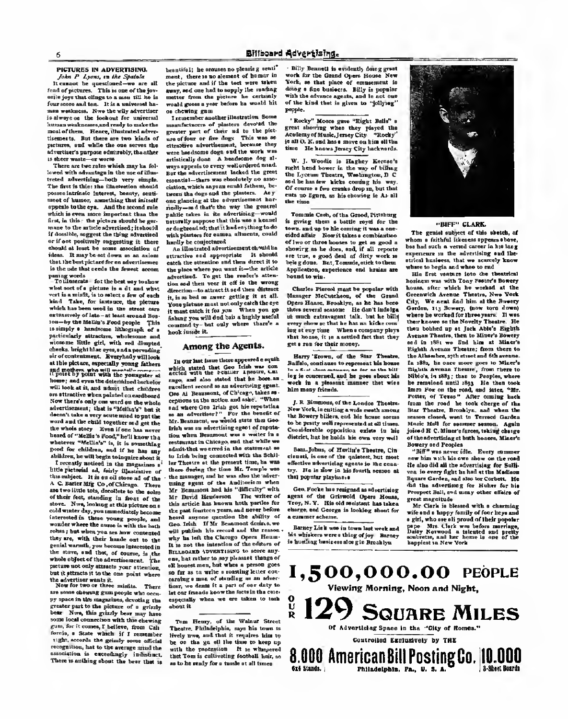# 6 Bfliboard Advertising.

### PICTURES IN ADVERTISING. John P. Lyons, in the Spatula.

It cannot be questioned—we are all<br>fond of pictures. This is one of the joy enile joys that clings to a man till he is<br>four score and tee. It is a naivered he . Now Income to the subsequent of the state of the wild and the wild and the wild of the state of the state of the state of the state of the state of the state of the state of the state of the state of the state of the sta is an always on the lookout for universal human wealth and the local human set of the local human set of the m<br>In the local difference of the local human set of the set of the set of the set of the set of the set of the s most of them. Hence, illustrated adver tisements. But there are two kinds of pictures, and while the one serves the

sneer warm-or were.<br>There are two retes which mor ha felt lewed with advantage in the use of illustroted advertising both very simple The first is this : the illustration should posses intrinsic interest, beauty, senti ment of humor, something that initself appeals to the eye. And the second rule of the second rule way the which iseven more important than the first, in this : the picture should be go mane to the article advertised ; it should if dominic, seggest the thing advantace<br>or if new positively suggesting it, then chould at loust be some association of chould at lough for some association of<br>ideas. It may be set down as an anism that the best eighteet for ea advertisement is the nde that cords the Somet accomrange work.<br>.Toillenerate : for the best were to shore

what sort of a picture is a dt and when sort is a misfit, is to select a Tew of each hind Take, for instance, the picture extensively of late - at least around Boston hy the Metliu a Food people This is simply a handsome lithograph of a wirecon Title girl, with red diseated cheeks, bright hise eyes, and a pervading sir of contratment. Restylady will at this picture, superisily young fathers repared y pair and the venanter a bower and your the detection of book of will look at it, and where the children on stimution whos painted on conditional<br>Now there's only one word on the whole<br>advertisement; that is "Metha's" hat i decent; take a very acute is "Mellinv b' tak at word advertisem?"<br>Werd and the child topsther and gay the . Mr. Benhamto, we'r the whole story Even if one has never<br>heard of "Mello's Food," hall know the heird of "Uellin'a Food,"he'l] know tha whatever "Wellin'a" is,it is something g.od for children, and if he has any children, he will begin toinquire about I recently noticed in the magazines o hitle pictorial ad, fairly illustrative this subject. It is an oil stove ad of the A. C. Barter Mfg Co , of Chicago. There of their fact, clearing in the soles of the Standard Hunderson, standard the Sunset of the soles of the soles cold water day, you munofisialy become teterested in these years people, and interested in these years people, and<br>weather where the aware is with the holl robes; but when you are how contented they are, with their heads out to the grainl warmth, you because introvered in the stove, and that, of course, is the whole object of the advertisement. The patture not only attracts your attention,<br>but it effinits it to the one point where

non or sensors or to the one point where<br>The advertises weaks st.<br>Since for two or three mission. Then state showing man province who comor reson in the manuface, devoting the bear Sive, this grindy bear may have some local connection with this chewing gum, Tor it<br>gum, for it connection with this chewing guarantee, it connection chewing the from Culture of the Culture of the Culture light, accords the griczly some official overgetters, hat to the average mind the There isnothing about the bear that is

This is con of the joy. Every, sed our hed to sepply the candid<br>legales a man till be in-metter from the picture. In-centers beautiful: he arouses no pleasing senti ment, there is no element of humor inthe picture and if the test were taken away, sed one had to supply the mading metter from the picture to certainly with<br>would guess a year before he would kit. of t on chewing gum <sup>I</sup> remember another illustration. Some

manufacture™ of planters devo'ed the cater part of their ad to the pict ure of four or five dogs This was an extractive of five dogs, This was an<br>extractive edvertisement, becomes they advertiser's purpose admirably, the other were beedingen dopt, and the work was as shown as a beadware dop all ways appeals to every well ordered mind. way of billion and the advertisement lacked the great that had bowen in the ange of billion and the great the great the great the state of the state of the complete the state of the state of the state of the state of the s essential— there was absolutely no association, which anyone could fathom, be- of events a few manning deep in, but the tween the dogs and the plasters. Anytoons the degrees the pleaters. As  $y = \cos y$  so figure, as his choosing in As all can gluoning at the advertisement her- the sime. rent purcely that's the way the general the stone.<br>reality-med that's the advertising-weald Temmis Cerk, of the Greed Pirrents public takes in its advertising—wonld naturally suppose that this was a kenuel er dogbread oft that it had anything to do to see and up to his consing it was a conwith plasters for comes alloweds, could edie be cominctante

as illestrated advertisement ch wid! etiracine sed appropriate D. show stirature sed appropriate in moment<br>cutch the ottenties and then duret it to<br>the place where you want it-the article advertised. To get the reader's atten tion and then veer it off in the wrong contract the pressure to a property with the contract the street of the Grand direction - to attract it sed then dist. is, is as bad as move getting it at all. Manager McCucchers, of the Grand Warrent state and the control of the Yonr pietuae must not only catch the eye it must catch it for you When you go fished gatch is far you. When you go with highest announce the contribution of the bill in the bill a highly useful contribution of the bill a highly useful contribution of the bill a set of the contribution of the contrib commoder the but only where there's a second control that we had not<br>commodity- but only where there's a seery show on that he has no kidne own. hook iuside It

# Among the Agents.

To your less taxes there appeared a most which stated that Gee frisk was congave, and also stated that he hope an curellent record so an advertising sgent. Che Al Beaumont, of Ch'reg-, takes se- centers and context exceptions to the notice and mint. "When J. R. Simmons of the London Theorem and where Gen Irish got his reputation New York, in excessing a wele continuously Mr. Beaninont, we would state that Geo. Irish was an advertising agent of reputation when Beaumont was a waiter in rest in Chicago, and that while we<br>That we creel in the statement we are some prime, of Hartley's Theatre, Cie<br>in being consected with the Schill and many, is one of the spinters, buy more admit-that-we erred in the statement a to Irish being connected with the Schiller Theatre at the present time, he was affected<br>there during the time Mr. Temple was seen the manager, and he waa also the adver-tising agent of the Anditorinm when Mr Beaumont had his "difficulty" with Mr David Henderson The writer of tbis article has known both parties for Its past fourteen years, and never before sharps, and Georg heard anyone question the ability of heard anyone quantion the ancers of will publish his record and the reason why he left the Chicago Opera House why he left the Chirego Opera Henn. is busiling basis on sing is precision. Bintaguan advurxision to score any one, bnt rather to say pleasant things of 's control as to write a roasting letter concarsing a most of standing as an amone.<br>time, we dance it a part of our dairy to tions, we don't it a part of our many t essentate when we are taken to tack

Tom Henry, .of the Walnut Street Theatre. Philadelphia, says his town islively now, and that it requires him 19<br>be on the go all the time to keep up<br>with the procession. It is whispered. that Tom is cultivating football hair, so as to be ready for a tussle at all times.

- Billy Bennett is evidently doing grant work for the Grand Opera House New York, as that place of numerorse in doing a fine business. Billy is popular of the kind that is given to "jollying"

they time to a see most recept on most out one. "Rocky" Moore gave "Eight Bells" a great showing when they played the Academy of Music, Jersey City. ''Rocky'' is all O. K, and has move on him allthe

> W. J. Woodie is Haghey Kernan's<br>right hand bower in the way of billing the Lyceum Theatre, Washington, D.

> resound Cost, of the Groot, Pittsburg<br>is giving them a builde copel for the sided affair. Now it takes <sup>a</sup> combination of two or three houses to get as good as however.<br>showing as he does, and, if all reports. Don are true, a good deal of dirty work is<br>being done. But, Tommie, ctick to them. Butic. Application, experience and brains are bonud to win.

that began it is a settled for that they get a men for their scoper

Barry 'Ecows, of the Star Theo Baillide, continues to represent his home-<br>in a disc shown as a second bis bis ing is concerned, and he goes about his work in a pleasant manner that wins **him many friends**.

the Bowery billers, and his house soon to be pretty well represented at all time Considerable opposition salate in his district buyers and it as producting to district the holds his own very well the heart and Pencher

that popular playbom

Geo. Focke has resigned as advertising agent of the Grirwold Opera House, prest<br>Troy, N. Y. His old assistant has taken charge, and George is looking aboot for

Barney Link was in town last wrek and hiswhiskerswerealhingofjoy. Barney



"BIFF" CLARK,

The genial subject of this sketch, a a faithful likeness appears above, bus had such a varsed career in hus long<br>superiouse in the advertising and like atricsl business, that we scarcely know where to begin and when to real.

J. R. Simmons, of the London Thanton. Izon the reed he took charge of the<br>New York, is calling a wide swath among Her Theatre, Resolute, and when the His first venture lots the theatrical business was with Tony Pastor's Bowery house, after which he worked at the Greenwich Avenue Theatre, New York City, We neit find him atthe Bowery Garden, 113 Bowery, (now torn down)<br>where he would for three mean. It an where he worked for three years.- It was then- known sstbe Novelty Theatre. He then bobbed op at Jack Abbe's Eighth Avenue Theatre, then to Miner's Bowery and in 1881 we find him at Miner's Eighth Avenue Theatre; from there to the AJhanhoe, with street and 6th avenue. In 1881, he once more goea to Miner's alj|l>itt Avenue Theatre; from there to Niels, in 1985; then to Peoples, who he remained until then He then took Imro Foi on the road, and later, ''Mr. Potter, of Texas" After coming back from the road be took charge of Ihe Star Theatre, Brooklyn, and when the seas closed, went to Terrace Garden Music Mell for summer season. Again joined H. C. Miner's forces, taking charge of the advertising of both houses, Miner's Bowery and People\* "Biff" was never idle. Every summer

een him with his own show on the real He also did all the advertising for Sulli van, in every fight he had at the Madison SquareGarden.andalsotorCorbett. H« did the advertising for Huber for his Prospect Ball, and many other affairs of great magnitude.

Mr. Clark is blessed wUb a charming wife and a happy family of four boys and a girl, who are alt proud of their popular pape Mrs. Clark was before marriage, paper Mrs. Clark was before marriage, and her been in one of the happing in New York

1,500,000.00 PEOPLE Viewing Morning, Noon and Night,  $\frac{9}{8}$  129 Square Miles Controlled Exclusively by THE 8.000 American Bill Posting Co. 10.000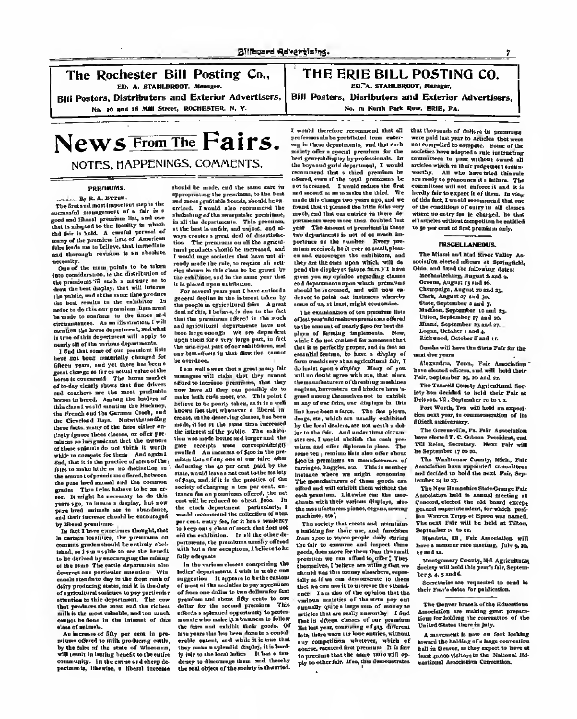The Rochester Bill Posting Co.,<br>  $\parallel$  Poster, Distribution and Exterior Advertisers,<br>  $\parallel$  Poster, Distribution and Exterior Advertisers,<br>
No. 16 and 15 All Street. Rochester, Northern and Technical Poster and Technic Adv ED. A. STAHLBRODT. Monger.

Bill Posters, Distributers and Exterior Advertisers.

<sup>I</sup> Posters, Disributers and Exterior Advertisers, No. 10 North Park Row. ERIE. PA.

# News From The Fairs. NOTES. HAPPENINGS. COMMENTS.

### -------**All County**

The first and most important step is the The Societis meetingeeinst on put the successful measurement or a rest over good and Identif premium res, in which that is adapted to the incidity in where<br>the fair is held. A careful person of<br>many of the premiem latts of American and thorough revision is an abodeto.

One of the mass points to be taken ... into common consideration of the distribution of the distribution of the main section of the main consideration draw the best display, that will interest the public, and although the product of the same of your pust Cheese entire<br>the public, and although the redshifter in ground decline in the interest than the<br>the best results to the redshifter in the purpose is only to fo the best results to the exhibitor Inaobo to do this our premium lista mmd electronization, As we illustration, I will ic horse department, and what is true of this department will accily to nearly sit of the verious

have me been sentility charged for beneviese.<br>Given your self-at the best of the well-sent their peat many fife distants and other than the second second th<br>given your and you will splan the sentiment their peat many fife poss change as fir to several value of the cannot managers will claim that they cannot well no doubt agree with me. that since strain sud conchers we the most profitable new have all they can possibly do to - cagines, havenesses and hinders have to<br>howen to heard, supergrade leaders of - make both code most, etc. This point i - - - - - - - - - - - - - bornes to beard. Among the leaders of<br>Historical world meaning the Hackney. Before to be poorly taken, as it is a vell as any of our fides, our displays in this<br>On Franch and the formers Camb, and Antoru feet that wherever the French and the German Csach, and heaven fact that whenever a literal in- Hen have been a farce. The few plows,<br>the Clearingd Have. Motorchateralizer Create, in the describing classes, has been advant, engines on meanil these facts, many of the fairs either en- made, it iss at the same time increased by the local dealers, are not worth a dol-<br>these facts, many of the fairs either en- the informat of the public. The end-fit - loc to the fa their ignore these classes, or offer pre- the interest of the public. The exhibit minums so insignment that the owners of these spinats do not think it worth while to compete for them. And again I finds<br>Hell, that it is the practice of some of the \ miles fairs to make little or no distinction in the amount of premiums offered, between the pure houd animal and the common the pass hour animal run one common. secting of charging a last par cent. en-<br>grades. Then lefter housesty to do this. trance for an pountume offered, the set graces. The arms conserve to do this. Ironos for an preschose officed, the<br>ror. It meight be necessary to do this - root will be referred to shown finite. years ago, to insure a display, but now<br>page bred animals and in about dance, by liberal breads.co.

ly fact I have concurrent thought, that in certain localities, the premiums on Tortuness, the premiums erectly effered common grades should be entirely sbol- issues.<br>ished, so 1 am unable to see the benefit. with to be derived by eoccu raging the raising of the same. The cattle department also deserves our particular attention. Wis<br>couch strails to day in the four reals of cousin stands to-day in the front rank of - sugge<br>dairy producing states, and it is the July - of we of agricultural societies to pay particular attention to this department. The cow that produces tbe most and the richest dollar for the second premium. This cannot be donc in the interest of this

mis considered to milk per cent in producing cattle in the true that<br>mission educing to milk producing cattle, and is extent, and while it is true that<br>in the fairs of the state of Wincomes, they comes a spinulid shaping i by the fairs of the state of Wisconsin, they make a sylendid display, it is hard-<br>will send in Lating benefit to thousand, by inje to the local ladies . D. has a true wy are sure in the state of interests, "they make a special today to the state" approximation first permeter. Did for<br>will result in lading local in the enjoy of the results food local ladies. Due to the local ladies if on

mony on any proposal and the believe, that immediate the The premiums on oli the agriculshould be made, and the same care in appropriation of the premium state appropriation of the best contributions. appropriating the possibilities to the sum<br>and most profitable breeds, should be ex-<br>covined. I would also recommend like ercise comments also recommend that it was recommended that it places the little folks very of the conditions o<br>Conditions of the little recommend the conditions of the conditions of the little folks very of the conditions is at the best is under an and unjustered and al-year. The amount of premiums Yr these to 50 per cent of first<br>with the best is under the set region, and al-year. The amount of permium on the first premium on ways creates a great deal of these two departments is not of as much im-<br>ways creates a great deal of the control. The figure as the accelera. Hence was tion. The premiums on allthe agricul- portance as the nm tural products should be increased, and - minm<br>I would urge societies that have not al- - we an ready made the rule, to require an armcounty.<br>"One of the more points is be taken, roady modeling rais, to require all arm- they are the easy agent which wi<br>an countermister, to the distribution of they make in this class to be grown that the displayer future

general decline in the interest taken by deser it is placed upon unkfisizes.<br>For several years past 1 have a the people in agricultural felm.<br>deal of this, I believe, is don to the that the premiums offered in the stock. and againshoord departments have not been and an air and we are an air and the control of the control of the control of the control of the control <br>In the control of the control of the control of the control of the control of the control of the control of th

ofay clearly shows that fine delume = nillood to increase premiums, that 'they = themseathelistent of theories premiums, increase to increase the content of the increase premium in the increase of the increase in the incre os mode becaerond lorger and 1888<br>receipts were correspondantly gues recepts were correspondent in the pre-<br>swelled An increase of \$400 in the pre- same ten remines their addres about the pre-<br>sales then of one one of our telev ofter \$400 in premiums to manufacturess at defecting the an per cent poid by the numingen, huggins etc. This is meet deducting the 40 per cent, paid by the space<br>state, would leave a net cost to the malery ... of \$140, and, if it is the pressure of the the stock department, particularly, I would recommend the collection of a ten per cent, entry fee, for it bas a tendency to keep out a class of slock that does not aid the exhibition. In all the other de- a burbling for their use, and durations and contage design the end of<br>potters the premiers weekly officed from a process and contage delight design that partments, the premiums usually offered with but<br>with but a few exceptions, I believe to be fully adequate.

In the carlons closers comprising the ...<br>Sign departments, I wish to make one ... ... suggestion. It appears to the control of the control control of the control of the control of the control of the<br>Suggestion 12 approach to be the control in this case of the control of the control of the state of of most ol the societies to pay apremium of from one dollar to two dollars for fitst premium and about fifty cents to one class of animals. Of An increase of fifty per cent in pre- late take much exhibit their goods. Of An increase of fifty per cent in pre- late years this has been done to a considcommunity. In the swine and sheep de- dency to discourage them, and thereby<br>stanests, likewise, a libered teamner. the real object of the second in therefor. Ute real object of the society ia thwarted.

molety offer a special premium for the societies have adopted a rule textracting<br>best general display by professionals. In committees to pass without award all the boys and girls' department, I would articles which is their propertment areas.<br>The boys and that a third premium be worthy. All who have tried that a<br>comment that a third premium be worthy. All who have tried the rule offered and the total premium be are ready. All the sum is the total present to provide the set of the total present it a failure. The total property in the set of the set of the set of the set of the set of the fact. encered, committee to the first committees will not enforce it in the first conditions of the first committees years and we of the press ago, and we of this fact, I would recovered that some of the second result in the second result in the second result in the second result in the second result in the second result in the second re abolishing of the sweepstake premiums, much, and the correspondence premium state premium states and the state<br>Abolishing of the sweepstake premiums, much and that our entries in these fee is where the state place is char<br> in all the departments. This premium, partments were more than doubled last all articles without competition beautified.<br>The doubled were more than doubled last all articles without competiton beautified. mean received, he it ever so small, please en and encourages the exhibitors, and The pend the display at future fairs.Y I have - Okón.<br>given you my opinion regarding classes - - Me gross you my spinoon regarding classes<br>cad deportments upon which premiums<br>whould be accreased, and will now en-

f last year's fairs showspremiums offered<br>on the special of special face for boat disto the amount of nearly hour out one one . Logus, October : and a upper them for a very large part, in fret width I do not contenue for a measure that upper part, in the second contenue of the second that the second contenue of the second contenue of the second contenue of the second con :.rly all of the ^'J^'Tli^ lne """"P"<sup>1</sup> P«\* •f~'«^M.Io-., «<sup>d</sup> that itis perfectly proper.and in fact an the Cleveland Bays. Notwithstand Bays. In the desired by the desired production of the desired are usually exhibited. sier to the rat. And under these corrent<br>steries, I weeld also<br>list the rate. The might diploma in place. The instance where we might economi The manufacturers of these goods can afford and will exhibit them without the The New Hompstein-State Grange Pair.<br>cock unnature. Althoutie can the more, association held in annual measure at cock promism. Address dan the mor- Announces hird is annual meeting at<br>chants with their various displays, also Concert, electron the bid bond corresp.<br>the marginitarum planes ergans seenna: august emateintatefort, for whi

milk is the most valuable, and too much affords a splenued opportunity to profes- agents and our ending a specification of the distribution of the state of the state of the state of the state of the state of the state of t a building for their use, and furnishes September 1. to 12. ton. in annual goods, does more for them than the small ti and ta.premium we can afford to; offer ! They Montgomery County, MA Agricultural<br>sequelyes, I believe are withing that we all the way hadd this way's fair thannel ahould use the money elsewhere, especrace. I say also of the opinion that the various majories of the slate pay out . The thereon broads of the Udwartisma summilly quite a large sum of money to The Denver branch of the Education of the Education. that is differe classes of our premium tions for holding the convention of the constant of the states of the s son men you were the best self-fers, without A movement is now on feet leading the heavy correntes. say competition whatever, which of course, received first premium It is forto presume that the same ratio will ap- bead<br>gly to other fair. If so, this demonstrates speci

that they can be at definer to see were paid hot year to articles that were<br>were paid hot compelled m competed m compiles and second second second the third was the third We have the third We have the third We have the them. In view

**NISCELLANEOUS.**<br>The Missair and Med Missa Holler, Av. The Miami and Mad River Valley As-sociation elected officers at Springfield, Ohio, and fixed the following dates:

Mechanizsbarg, August 6 and 9. Greene, August 13 and 16. Champaign, August 20 and 21. Clark, August 27 and 30. The exceedsation of ten premium lists Madien, September 10 and <sub>Now,</sub> Logan, October 1 and 4.<br>1921 - Richwood, October 8 and 12. mann, corporators 3 and 3.<br>Madison, September 10 and 13 Union, September 27 and 20.<br>Miami. September 23 and 77.

Omaha will have the fitate Fair for the

Alexandria, Teno., Association have elected officers, and will hold their Fair, September 19, 20 and 11.

The Taxwell County Agricultural Seciety has decided to hold their Pair at program extensive to new their Fort Worth, Tex will hold an exposi-

tion next year, in commemeration of Its fiftieth anniversary.

The Crocanville, Pa. Phil Agendation neve correct L.C. Concess Francisco, cad be September 17 to 30.

The Washienaw County, Mich., Fair 'tember 14 to 27. and decided to hold the next Pair, Sep- .

The New Hampshire State Grange Fair Association held is annual meeting at Association Rent in annual meeting at on Western Trepp of Egene was annual. The society that erects and maintains The next Fair will be held at Tilton,

from 1.000 to to,oco people daily during Mendota. Il , Fair Association will<br>the fair to exament and inspect these have a summer race meeting, July g,to.

themselves, I believe are willing that we "illustry will hold this you's fall, hoppen-<br>cheald and this access closeders, espec- ber 3, 4, 5 and 6.

decretisties are verprested to send in their Fur's detes for politication.

of Association are making great prepara-<br>lines for helding the convention of the

teward the natural or a wege convenient<br>hall in Denver, as they expect to have at<br>heast angon visitors to the National Rd-